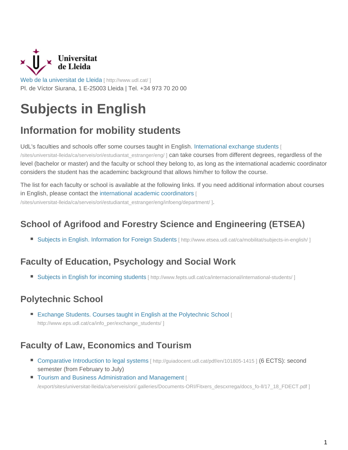

[Web de la universitat de Lleida](http://www.udl.cat/) [ http://www.udl.cat/ ] Pl. de Víctor Siurana, 1 E-25003 Lleida | Tel. +34 973 70 20 00

# **Subjects in English**

## **Information for mobility students**

UdL's faculties and schools offer some courses taught in English. International exchange students [

/sites/universitat-lleida/ca/serveis/ori/estudiantat\_estranger/eng/ ] can take courses from different degrees, regardless of the level (bachelor or master) and the faculty or school they belong to, as long as the international academic coordinator considers the student has the academinc background that allows him/her to follow the course.

The list for each faculty or school is available at the following links. If you need additional information about courses in English, please contact the international academic coordinators [

/sites/universitat-lleida/ca/serveis/ori/estudiantat\_estranger/eng/infoeng/department/ ].

## **School of Agrifood and Forestry Science and Engineering (ETSEA)**

■ [Subjects in English. Information for Foreign Students](http://www.etsea.udl.cat/ca/mobilitat/subjects-in-english/) [ http://www.etsea.udl.cat/ca/mobilitat/subjects-in-english/ ]

## **Faculty of Education, Psychology and Social Work**

■ Subjects in English for incoming students [\[ http://www.fepts.udl.cat/ca/internacional/international-students/ \]](http://www.fepts.udl.cat/ca/internacional/international-students/)

## **Polytechnic School**

■ [Exchange Students. Courses taught in English at the Polytechnic School](http://www.eps.udl.cat/ca/info_per/exchange_students/) [ [http://www.eps.udl.cat/ca/info\\_per/exchange\\_students/ \]](http://www.eps.udl.cat/ca/info_per/exchange_students/)

## **Faculty of Law, Economics and Tourism**

- [Comparative Introduction to legal systems](http://guiadocent.udl.cat/pdf/en/101805-1415) [ http://guiadocent.udl.cat/pdf/en/101805-1415 ] (6 ECTS): second semester (from February to July)
- Tourism and Business Administration and Management [ /export/sites/universitat-lleida/ca/serveis/ori/.galleries/Documents-ORI/Fitxers\_descxrrega/docs\_fo-ll/17\_18\_FDECT.pdf ]